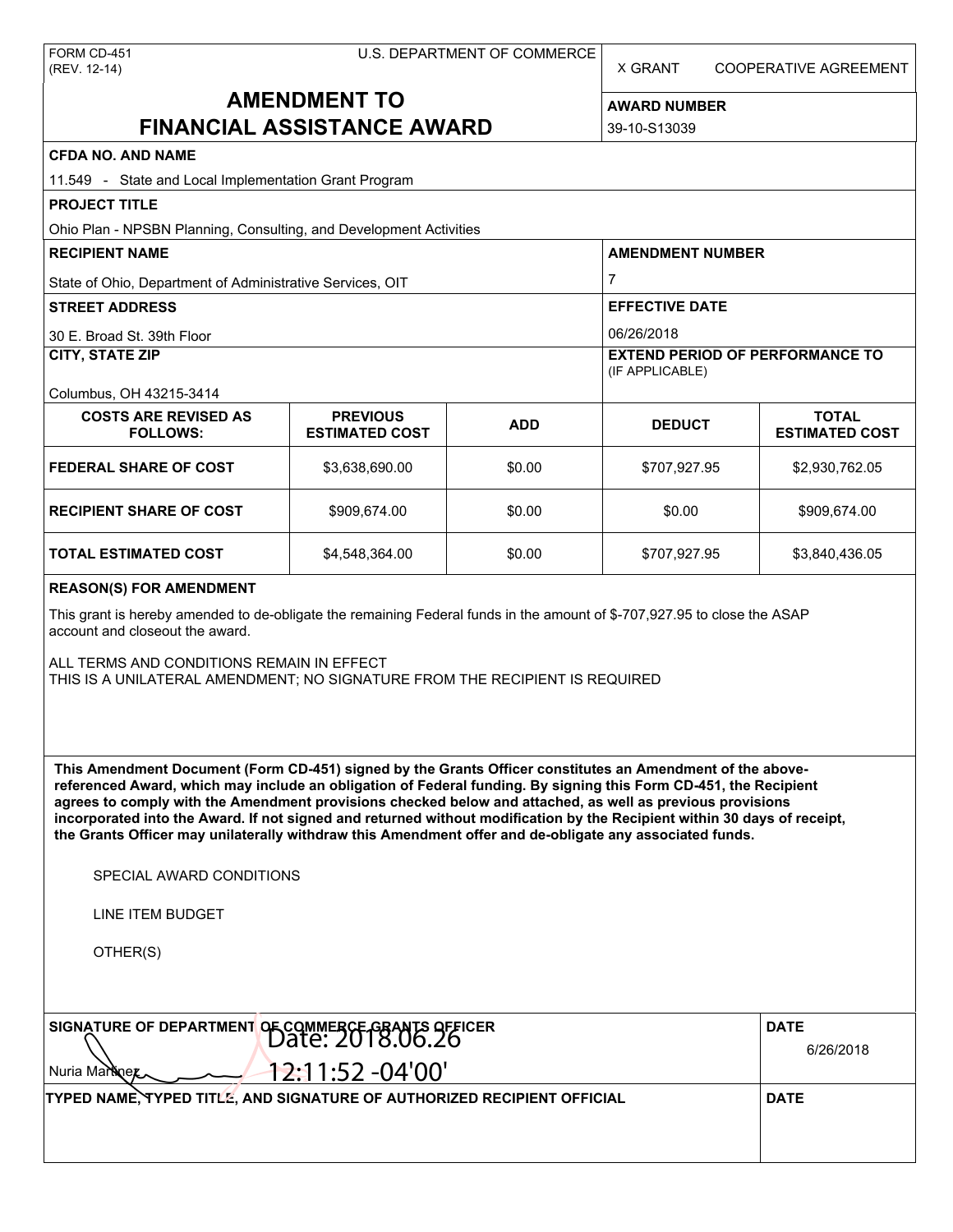X GRANT COOPERATIVE AGREEMENT

# **AMENDMENT TO FINANCIAL ASSISTANCE AWARD**

**AWARD NUMBER** 39-10-S13039

| <b>CFDA NO. AND NAME</b>                                                                                                                                                                                                                                                                                                                                                                                                                                                                                                                                                          |                                          |            |                                                           |                                       |  |  |
|-----------------------------------------------------------------------------------------------------------------------------------------------------------------------------------------------------------------------------------------------------------------------------------------------------------------------------------------------------------------------------------------------------------------------------------------------------------------------------------------------------------------------------------------------------------------------------------|------------------------------------------|------------|-----------------------------------------------------------|---------------------------------------|--|--|
| 11.549 - State and Local Implementation Grant Program                                                                                                                                                                                                                                                                                                                                                                                                                                                                                                                             |                                          |            |                                                           |                                       |  |  |
| <b>PROJECT TITLE</b>                                                                                                                                                                                                                                                                                                                                                                                                                                                                                                                                                              |                                          |            |                                                           |                                       |  |  |
| Ohio Plan - NPSBN Planning, Consulting, and Development Activities                                                                                                                                                                                                                                                                                                                                                                                                                                                                                                                |                                          |            |                                                           |                                       |  |  |
| <b>RECIPIENT NAME</b>                                                                                                                                                                                                                                                                                                                                                                                                                                                                                                                                                             |                                          |            | <b>AMENDMENT NUMBER</b>                                   |                                       |  |  |
| State of Ohio, Department of Administrative Services, OIT                                                                                                                                                                                                                                                                                                                                                                                                                                                                                                                         |                                          |            | 7                                                         |                                       |  |  |
| <b>STREET ADDRESS</b>                                                                                                                                                                                                                                                                                                                                                                                                                                                                                                                                                             |                                          |            | <b>EFFECTIVE DATE</b>                                     |                                       |  |  |
| 30 E. Broad St. 39th Floor                                                                                                                                                                                                                                                                                                                                                                                                                                                                                                                                                        |                                          |            | 06/26/2018                                                |                                       |  |  |
| <b>CITY, STATE ZIP</b>                                                                                                                                                                                                                                                                                                                                                                                                                                                                                                                                                            |                                          |            | <b>EXTEND PERIOD OF PERFORMANCE TO</b><br>(IF APPLICABLE) |                                       |  |  |
| Columbus, OH 43215-3414                                                                                                                                                                                                                                                                                                                                                                                                                                                                                                                                                           |                                          |            |                                                           |                                       |  |  |
| <b>COSTS ARE REVISED AS</b><br><b>FOLLOWS:</b>                                                                                                                                                                                                                                                                                                                                                                                                                                                                                                                                    | <b>PREVIOUS</b><br><b>ESTIMATED COST</b> | <b>ADD</b> | <b>DEDUCT</b>                                             | <b>TOTAL</b><br><b>ESTIMATED COST</b> |  |  |
| <b>FEDERAL SHARE OF COST</b>                                                                                                                                                                                                                                                                                                                                                                                                                                                                                                                                                      | \$3,638,690.00                           | \$0.00     | \$707,927.95                                              | \$2,930,762.05                        |  |  |
| <b>RECIPIENT SHARE OF COST</b>                                                                                                                                                                                                                                                                                                                                                                                                                                                                                                                                                    | \$909,674.00                             | \$0.00     | \$0.00                                                    | \$909,674.00                          |  |  |
| <b>TOTAL ESTIMATED COST</b>                                                                                                                                                                                                                                                                                                                                                                                                                                                                                                                                                       | \$4,548,364.00                           | \$0.00     | \$707,927.95                                              | \$3,840,436.05                        |  |  |
| <b>REASON(S) FOR AMENDMENT</b><br>This grant is hereby amended to de-obligate the remaining Federal funds in the amount of \$-707,927.95 to close the ASAP<br>account and closeout the award.<br>ALL TERMS AND CONDITIONS REMAIN IN EFFECT<br>THIS IS A UNILATERAL AMENDMENT; NO SIGNATURE FROM THE RECIPIENT IS REQUIRED                                                                                                                                                                                                                                                         |                                          |            |                                                           |                                       |  |  |
| This Amendment Document (Form CD-451) signed by the Grants Officer constitutes an Amendment of the above-<br>referenced Award, which may include an obligation of Federal funding. By signing this Form CD-451, the Recipient<br>agrees to comply with the Amendment provisions checked below and attached, as well as previous provisions<br>incorporated into the Award. If not signed and returned without modification by the Recipient within 30 days of receipt,<br>the Grants Officer may unilaterally withdraw this Amendment offer and de-obligate any associated funds. |                                          |            |                                                           |                                       |  |  |
| SPECIAL AWARD CONDITIONS                                                                                                                                                                                                                                                                                                                                                                                                                                                                                                                                                          |                                          |            |                                                           |                                       |  |  |
| LINE ITEM BUDGET                                                                                                                                                                                                                                                                                                                                                                                                                                                                                                                                                                  |                                          |            |                                                           |                                       |  |  |
| OTHER(S)                                                                                                                                                                                                                                                                                                                                                                                                                                                                                                                                                                          |                                          |            |                                                           |                                       |  |  |
| SIGNATURE OF DEPARTMENT OF COMMERCE GRANTS OFFICER<br>12:11:52 -04'00'<br>Nuria Martinez                                                                                                                                                                                                                                                                                                                                                                                                                                                                                          | <b>DATE</b><br>6/26/2018                 |            |                                                           |                                       |  |  |
| TYPED NAME, TYPED TITLE, AND SIGNATURE OF AUTHORIZED RECIPIENT OFFICIAL                                                                                                                                                                                                                                                                                                                                                                                                                                                                                                           | <b>DATE</b>                              |            |                                                           |                                       |  |  |